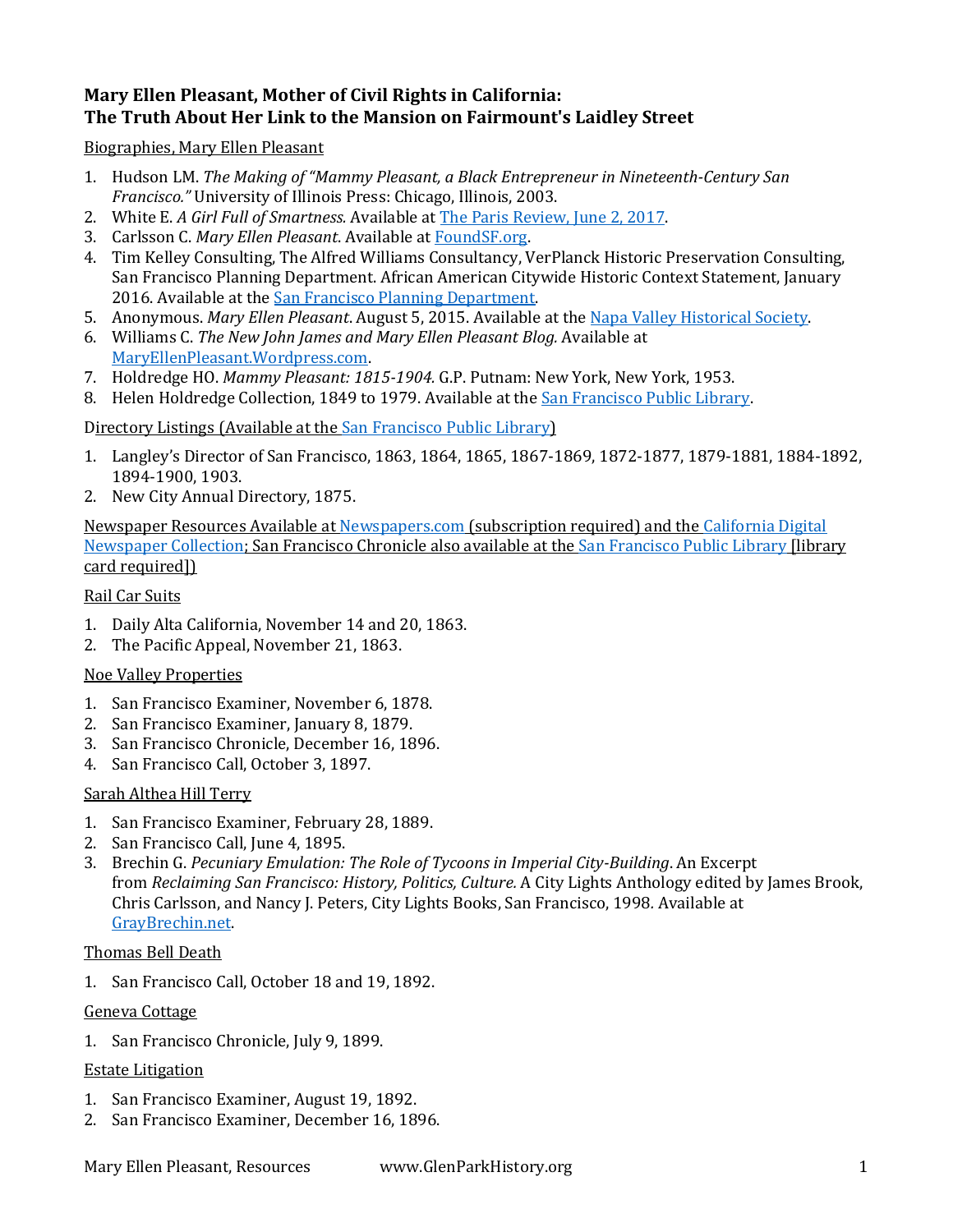# **Mary Ellen Pleasant, Mother of Civil Rights in California: The Truth About Her Link to the Mansion on Fairmount's Laidley Street**

Biographies, Mary Ellen Pleasant

- 1. Hudson LM. *The Making of "Mammy Pleasant, a Black Entrepreneur in Nineteenth-Century San Francisco."* University of Illinois Press: Chicago, Illinois, 2003.
- 2. White E. *A Girl Full of Smartness.* Available a[t The Paris Review, June 2, 2017.](https://www.theparisreview.org/blog/2017/06/02/a-girl-full-of-smartness/)
- 3. Carlsson C. *Mary Ellen Pleasant*. Available a[t FoundSF.org.](http://www.foundsf.org/index.php?title=Mary_Ellen_Pleasant)
- 4. Tim Kelley Consulting, The Alfred Williams Consultancy, VerPlanck Historic Preservation Consulting, San Francisco Planning Department. African American Citywide Historic Context Statement, January 2016. Available at the [San Francisco Planning Department.](https://default.sfplanning.org/Preservation/african_american_HCS/AfricanAmericanHistoricContextStatement_Draft_Jan2016.pdf)
- 5. Anonymous. *Mary Ellen Pleasant*. August 5, 2015. Available at the [Napa Valley Historical Society.](https://sfpl.org/index.php?pg=2000028601&tab=alpha#/alpha/s)
- 6. Williams C. *The New John James and Mary Ellen Pleasant Blog.* Available at [MaryEllenPleasant.Wordpress.com.](https://maryellenpleasant.wordpress.com/)
- 7. Holdredge HO. *Mammy Pleasant: 1815-1904.* G.P. Putnam: New York, New York, 1953.
- 8. Helen Holdredge Collection, 1849 to 1979. Available at the [San Francisco Public Library.](https://oac.cdlib.org/findaid/ark:/13030/c87s7q8j/entire_text/)

Directory Listings (Available at th[e San Francisco Public Library\)](https://sfpl.org/?pg=2000540401)

- 1. Langley's Director of San Francisco, 1863, 1864, 1865, 1867-1869, 1872-1877, 1879-1881, 1884-1892, 1894-1900, 1903.
- 2. New City Annual Directory, 1875.

Newspaper Resources Available at [Newspapers.com](http://www.newspapers.com/) (subscription required) and the [California Digital](https://cdnc.ucr.edu/)  [Newspaper Collection;](https://cdnc.ucr.edu/) San Francisco Chronicle also available at the [San Francisco Public Library](https://sfpl.org/index.php?pg=2000028601&tab=alpha#/alpha/s) [library card required])

## Rail Car Suits

- 1. Daily Alta California, November 14 and 20, 1863.
- 2. The Pacific Appeal, November 21, 1863.

### Noe Valley Properties

- 1. San Francisco Examiner, November 6, 1878.
- 2. San Francisco Examiner, January 8, 1879.
- 3. San Francisco Chronicle, December 16, 1896.
- 4. San Francisco Call, October 3, 1897.

### Sarah Althea Hill Terry

- 1. San Francisco Examiner, February 28, 1889.
- 2. San Francisco Call, June 4, 1895.
- 3. Brechin G. *Pecuniary Emulation: The Role of Tycoons in Imperial City-Building*. An Excerpt from *Reclaiming San Francisco: History, Politics, Culture.* A City Lights Anthology edited by James Brook, Chris Carlsson, and Nancy J. Peters, City Lights Books, San Francisco, 1998*.* Available at [GrayBrechin.net.](http://graybrechin.net/books/reclaiming-san-francisco/index.html)

### Thomas Bell Death

1. San Francisco Call, October 18 and 19, 1892.

### Geneva Cottage

1. San Francisco Chronicle, July 9, 1899.

### Estate Litigation

- 1. San Francisco Examiner, August 19, 1892.
- 2. San Francisco Examiner, December 16, 1896.